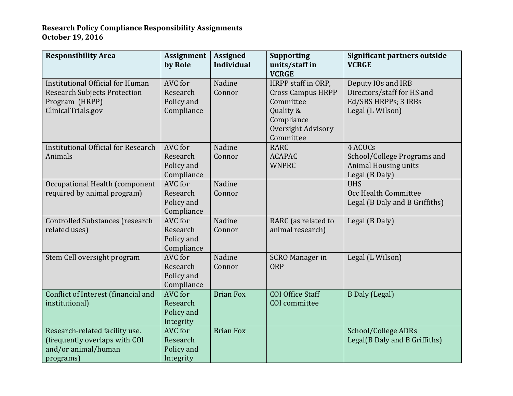## **Research Policy Compliance Responsibility Assignments October 19, 2016**

| <b>Responsibility Area</b>                                                                                             | Assignment<br>by Role                           | <b>Assigned</b><br><b>Individual</b> | <b>Supporting</b><br>units/staff in<br><b>VCRGE</b>                                                                       | Significant partners outside<br><b>VCRGE</b>                                                 |
|------------------------------------------------------------------------------------------------------------------------|-------------------------------------------------|--------------------------------------|---------------------------------------------------------------------------------------------------------------------------|----------------------------------------------------------------------------------------------|
| <b>Institutional Official for Human</b><br><b>Research Subjects Protection</b><br>Program (HRPP)<br>ClinicalTrials.gov | AVC for<br>Research<br>Policy and<br>Compliance | Nadine<br>Connor                     | HRPP staff in ORP,<br><b>Cross Campus HRPP</b><br>Committee<br>Quality &<br>Compliance<br>Oversight Advisory<br>Committee | Deputy IOs and IRB<br>Directors/staff for HS and<br>Ed/SBS HRPPs; 3 IRBs<br>Legal (L Wilson) |
| <b>Institutional Official for Research</b><br>Animals                                                                  | AVC for<br>Research<br>Policy and<br>Compliance | Nadine<br>Connor                     | <b>RARC</b><br><b>ACAPAC</b><br><b>WNPRC</b>                                                                              | 4 ACUCs<br>School/College Programs and<br><b>Animal Housing units</b><br>Legal (B Daly)      |
| Occupational Health (component<br>required by animal program)                                                          | AVC for<br>Research<br>Policy and<br>Compliance | Nadine<br>Connor                     |                                                                                                                           | <b>UHS</b><br>Occ Health Committee<br>Legal (B Daly and B Griffiths)                         |
| <b>Controlled Substances (research</b><br>related uses)                                                                | AVC for<br>Research<br>Policy and<br>Compliance | Nadine<br>Connor                     | RARC (as related to<br>animal research)                                                                                   | Legal (B Daly)                                                                               |
| Stem Cell oversight program                                                                                            | AVC for<br>Research<br>Policy and<br>Compliance | Nadine<br>Connor                     | <b>SCRO Manager in</b><br><b>ORP</b>                                                                                      | Legal (L Wilson)                                                                             |
| Conflict of Interest (financial and<br>institutional)                                                                  | AVC for<br>Research<br>Policy and<br>Integrity  | <b>Brian Fox</b>                     | COI Office Staff<br>COI committee                                                                                         | <b>B</b> Daly (Legal)                                                                        |
| Research-related facility use.<br>(frequently overlaps with COI<br>and/or animal/human<br>programs)                    | AVC for<br>Research<br>Policy and<br>Integrity  | <b>Brian Fox</b>                     |                                                                                                                           | School/College ADRs<br>Legal(B Daly and B Griffiths)                                         |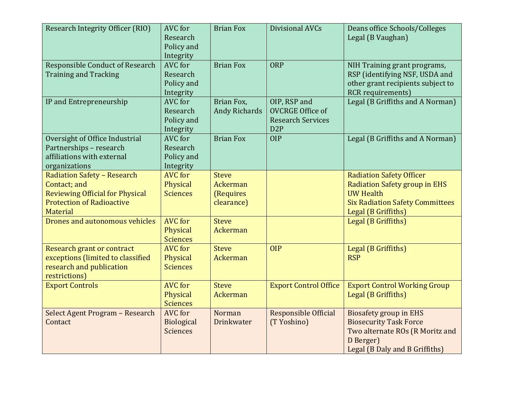| Research Integrity Officer (RIO)                                                                                                             | AVC for<br>Research<br>Policy and<br>Integrity  | <b>Brian Fox</b>                                    | Divisional AVCs                                                                         | Deans office Schools/Colleges<br>Legal (B Vaughan)                                                                                                    |
|----------------------------------------------------------------------------------------------------------------------------------------------|-------------------------------------------------|-----------------------------------------------------|-----------------------------------------------------------------------------------------|-------------------------------------------------------------------------------------------------------------------------------------------------------|
| <b>Responsible Conduct of Research</b><br><b>Training and Tracking</b>                                                                       | AVC for<br>Research<br>Policy and<br>Integrity  | <b>Brian Fox</b>                                    | <b>ORP</b>                                                                              | NIH Training grant programs,<br>RSP (identifying NSF, USDA and<br>other grant recipients subject to<br><b>RCR</b> requirements)                       |
| IP and Entrepreneurship                                                                                                                      | AVC for<br>Research<br>Policy and<br>Integrity  | Brian Fox,<br><b>Andy Richards</b>                  | OIP, RSP and<br><b>OVCRGE Office of</b><br><b>Research Services</b><br>D <sub>2</sub> P | Legal (B Griffiths and A Norman)                                                                                                                      |
| Oversight of Office Industrial<br>Partnerships - research<br>affiliations with external<br>organizations                                     | AVC for<br>Research<br>Policy and<br>Integrity  | <b>Brian Fox</b>                                    | <b>OIP</b>                                                                              | Legal (B Griffiths and A Norman)                                                                                                                      |
| <b>Radiation Safety - Research</b><br>Contact; and<br><b>Reviewing Official for Physical</b><br><b>Protection of Radioactive</b><br>Material | <b>AVC</b> for<br>Physical<br><b>Sciences</b>   | <b>Steve</b><br>Ackerman<br>(Requires<br>clearance) |                                                                                         | <b>Radiation Safety Officer</b><br>Radiation Safety group in EHS<br><b>UW Health</b><br><b>Six Radiation Safety Committees</b><br>Legal (B Griffiths) |
| Drones and autonomous vehicles                                                                                                               | <b>AVC</b> for<br>Physical<br><b>Sciences</b>   | <b>Steve</b><br><b>Ackerman</b>                     |                                                                                         | Legal (B Griffiths)                                                                                                                                   |
| <b>Research grant or contract</b><br>exceptions (limited to classified<br>research and publication<br>restrictions)                          | <b>AVC</b> for<br>Physical<br><b>Sciences</b>   | <b>Steve</b><br><b>Ackerman</b>                     | <b>OIP</b>                                                                              | Legal (B Griffiths)<br><b>RSP</b>                                                                                                                     |
| <b>Export Controls</b>                                                                                                                       | <b>AVC</b> for<br>Physical<br><b>Sciences</b>   | <b>Steve</b><br><b>Ackerman</b>                     | <b>Export Control Office</b>                                                            | <b>Export Control Working Group</b><br>Legal (B Griffiths)                                                                                            |
| Select Agent Program - Research<br>Contact                                                                                                   | <b>AVC</b> for<br>Biological<br><b>Sciences</b> | Norman<br>Drinkwater                                | Responsible Official<br>(T Yoshino)                                                     | <b>Biosafety group in EHS</b><br><b>Biosecurity Task Force</b><br>Two alternate ROs (R Moritz and<br>D Berger)<br>Legal (B Daly and B Griffiths)      |